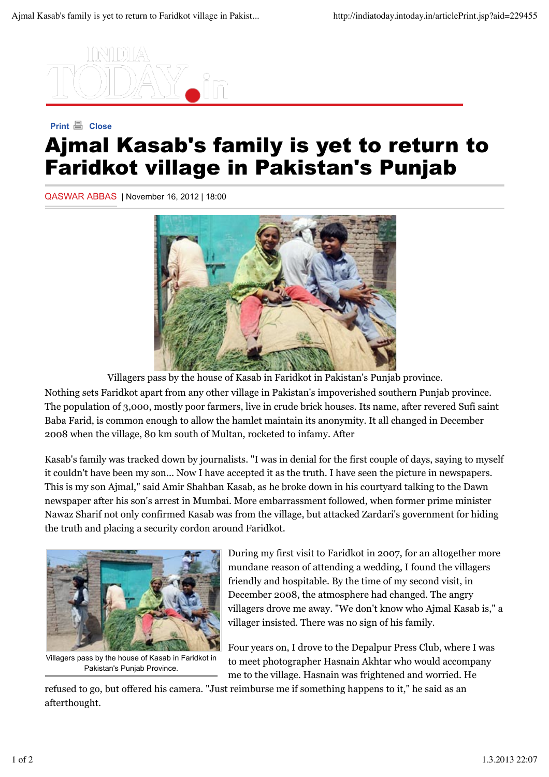

## **Print A** Close Ajmal Kasab's family is yet to return to Faridkot village in Pakistan's Punjab

QASWAR ABBAS | November 16, 2012 | 18:00



Villagers pass by the house of Kasab in Faridkot in Pakistan's Punjab province. Nothing sets Faridkot apart from any other village in Pakistan's impoverished southern Punjab province. The population of 3,000, mostly poor farmers, live in crude brick houses. Its name, after revered Sufi saint Baba Farid, is common enough to allow the hamlet maintain its anonymity. It all changed in December 2008 when the village, 80 km south of Multan, rocketed to infamy. After

Kasab's family was tracked down by journalists. "I was in denial for the first couple of days, saying to myself it couldn't have been my son... Now I have accepted it as the truth. I have seen the picture in newspapers. This is my son Ajmal," said Amir Shahban Kasab, as he broke down in his courtyard talking to the Dawn newspaper after his son's arrest in Mumbai. More embarrassment followed, when former prime minister Nawaz Sharif not only confirmed Kasab was from the village, but attacked Zardari's government for hiding the truth and placing a security cordon around Faridkot.



Villagers pass by the house of Kasab in Faridkot in Pakistan's Punjab Province.

During my first visit to Faridkot in 2007, for an altogether more mundane reason of attending a wedding, I found the villagers friendly and hospitable. By the time of my second visit, in December 2008, the atmosphere had changed. The angry villagers drove me away. "We don't know who Ajmal Kasab is," a villager insisted. There was no sign of his family.

Four years on, I drove to the Depalpur Press Club, where I was to meet photographer Hasnain Akhtar who would accompany me to the village. Hasnain was frightened and worried. He

refused to go, but offered his camera. "Just reimburse me if something happens to it," he said as an afterthought.